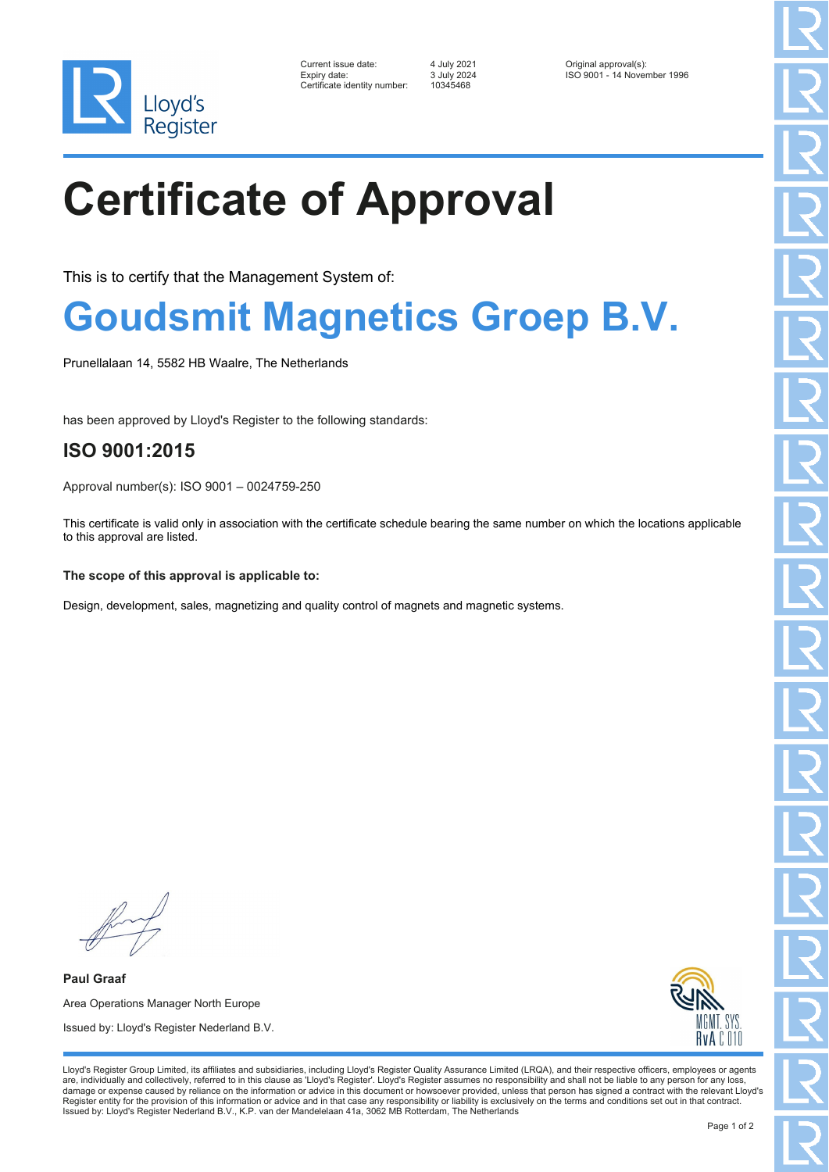

| Current issue date:         |
|-----------------------------|
| Expiry date:                |
| Certificate identity number |

Certificate identity number: 10345468

Current issue date: 4 July 2021 Original approval(s): Expiry date: 3 July 2024 ISO 9001 - 14 November 1996

# **Certificate of Approval**

This is to certify that the Management System of:

### **Goudsmit Magnetics Groep B.V.**

Prunellalaan 14, 5582 HB Waalre, The Netherlands

has been approved by Lloyd's Register to the following standards:

### **ISO 9001:2015**

Approval number(s): ISO 9001 – 0024759-250

This certificate is valid only in association with the certificate schedule bearing the same number on which the locations applicable to this approval are listed.

#### **The scope of this approval is applicable to:**

Design, development, sales, magnetizing and quality control of magnets and magnetic systems.

**Paul Graaf** Area Operations Manager North Europe Issued by: Lloyd's Register Nederland B.V.



Lloyd's Register Group Limited, its affiliates and subsidiaries, including Lloyd's Register Quality Assurance Limited (LRQA), and their respective officers, employees or agents are, individually and collectively, referred to in this clause as 'Lloyd's Register'. Lloyd's Register assumes no responsibility and shall not be liable to any person for any loss,<br>damage or expense caused by reliance on t Register entity for the provision of this information or advice and in that case any responsibility or liability is exclusively on the terms and conditions set out in that contract. Issued by: Lloyd's Register Nederland B.V., K.P. van der Mandelelaan 41a, 3062 MB Rotterdam, The Netherlands